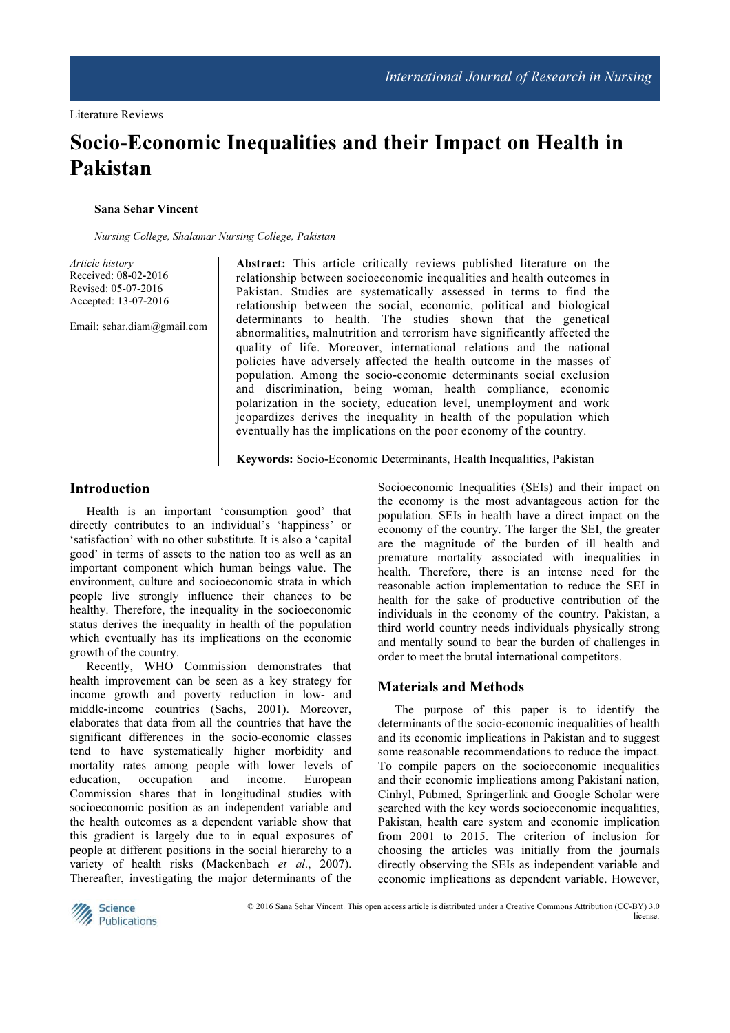# Socio-Economic Inequalities and their Impact on Health in Pakistan

#### Sana Sehar Vincent

Nursing College, Shalamar Nursing College, Pakistan

Article history Received: 08-02-2016 Revised: 05-07-2016 Accepted: 13-07-2016

Email: sehar.diam@gmail.com

Abstract: This article critically reviews published literature on the relationship between socioeconomic inequalities and health outcomes in Pakistan. Studies are systematically assessed in terms to find the relationship between the social, economic, political and biological determinants to health. The studies shown that the genetical abnormalities, malnutrition and terrorism have significantly affected the quality of life. Moreover, international relations and the national policies have adversely affected the health outcome in the masses of population. Among the socio-economic determinants social exclusion and discrimination, being woman, health compliance, economic polarization in the society, education level, unemployment and work jeopardizes derives the inequality in health of the population which eventually has the implications on the poor economy of the country.

Keywords: Socio-Economic Determinants, Health Inequalities, Pakistan

# Introduction

Health is an important 'consumption good' that directly contributes to an individual's 'happiness' or 'satisfaction' with no other substitute. It is also a 'capital good' in terms of assets to the nation too as well as an important component which human beings value. The environment, culture and socioeconomic strata in which people live strongly influence their chances to be healthy. Therefore, the inequality in the socioeconomic status derives the inequality in health of the population which eventually has its implications on the economic growth of the country.

Recently, WHO Commission demonstrates that health improvement can be seen as a key strategy for income growth and poverty reduction in low- and middle-income countries (Sachs, 2001). Moreover, elaborates that data from all the countries that have the significant differences in the socio-economic classes tend to have systematically higher morbidity and mortality rates among people with lower levels of education, occupation and income. European Commission shares that in longitudinal studies with socioeconomic position as an independent variable and the health outcomes as a dependent variable show that this gradient is largely due to in equal exposures of people at different positions in the social hierarchy to a variety of health risks (Mackenbach et al., 2007). Thereafter, investigating the major determinants of the

Socioeconomic Inequalities (SEIs) and their impact on the economy is the most advantageous action for the population. SEIs in health have a direct impact on the economy of the country. The larger the SEI, the greater are the magnitude of the burden of ill health and premature mortality associated with inequalities in health. Therefore, there is an intense need for the reasonable action implementation to reduce the SEI in health for the sake of productive contribution of the individuals in the economy of the country. Pakistan, a third world country needs individuals physically strong and mentally sound to bear the burden of challenges in order to meet the brutal international competitors.

# Materials and Methods

The purpose of this paper is to identify the determinants of the socio-economic inequalities of health and its economic implications in Pakistan and to suggest some reasonable recommendations to reduce the impact. To compile papers on the socioeconomic inequalities and their economic implications among Pakistani nation, Cinhyl, Pubmed, Springerlink and Google Scholar were searched with the key words socioeconomic inequalities, Pakistan, health care system and economic implication from 2001 to 2015. The criterion of inclusion for choosing the articles was initially from the journals directly observing the SEIs as independent variable and economic implications as dependent variable. However,



© 2016 Sana Sehar Vincent. This open access article is distributed under a Creative Commons Attribution (CC-BY) 3.0 license.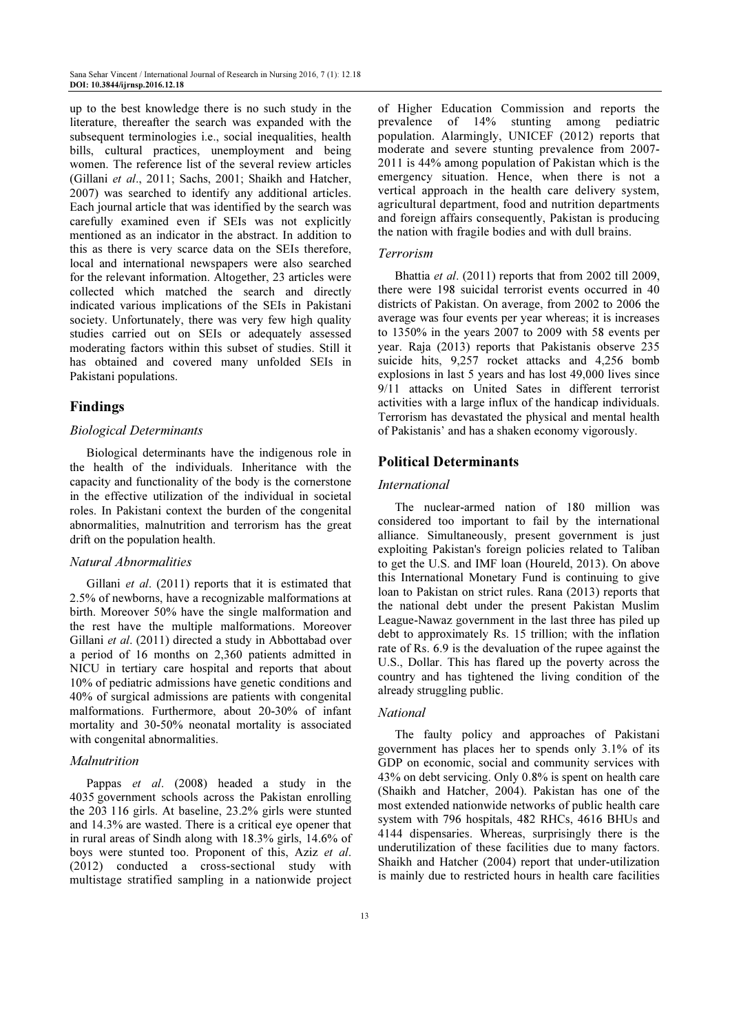up to the best knowledge there is no such study in the literature, thereafter the search was expanded with the subsequent terminologies i.e., social inequalities, health bills, cultural practices, unemployment and being women. The reference list of the several review articles (Gillani et al., 2011; Sachs, 2001; Shaikh and Hatcher, 2007) was searched to identify any additional articles. Each journal article that was identified by the search was carefully examined even if SEIs was not explicitly mentioned as an indicator in the abstract. In addition to this as there is very scarce data on the SEIs therefore, local and international newspapers were also searched for the relevant information. Altogether, 23 articles were collected which matched the search and directly indicated various implications of the SEIs in Pakistani society. Unfortunately, there was very few high quality studies carried out on SEIs or adequately assessed moderating factors within this subset of studies. Still it has obtained and covered many unfolded SEIs in Pakistani populations.

# Findings

#### Biological Determinants

Biological determinants have the indigenous role in the health of the individuals. Inheritance with the capacity and functionality of the body is the cornerstone in the effective utilization of the individual in societal roles. In Pakistani context the burden of the congenital abnormalities, malnutrition and terrorism has the great drift on the population health.

#### Natural Abnormalities

Gillani et al. (2011) reports that it is estimated that 2.5% of newborns, have a recognizable malformations at birth. Moreover 50% have the single malformation and the rest have the multiple malformations. Moreover Gillani et al. (2011) directed a study in Abbottabad over a period of 16 months on 2,360 patients admitted in NICU in tertiary care hospital and reports that about 10% of pediatric admissions have genetic conditions and 40% of surgical admissions are patients with congenital malformations. Furthermore, about 20-30% of infant mortality and 30-50% neonatal mortality is associated with congenital abnormalities.

#### **Malnutrition**

Pappas et al. (2008) headed a study in the 4035 government schools across the Pakistan enrolling the 203 116 girls. At baseline, 23.2% girls were stunted and 14.3% are wasted. There is a critical eye opener that in rural areas of Sindh along with 18.3% girls, 14.6% of boys were stunted too. Proponent of this, Aziz et al. (2012) conducted a cross-sectional study with multistage stratified sampling in a nationwide project of Higher Education Commission and reports the prevalence of 14% stunting among pediatric population. Alarmingly, UNICEF (2012) reports that moderate and severe stunting prevalence from 2007- 2011 is 44% among population of Pakistan which is the emergency situation. Hence, when there is not a vertical approach in the health care delivery system, agricultural department, food and nutrition departments and foreign affairs consequently, Pakistan is producing the nation with fragile bodies and with dull brains.

#### Terrorism

Bhattia et al. (2011) reports that from 2002 till 2009, there were 198 suicidal terrorist events occurred in 40 districts of Pakistan. On average, from 2002 to 2006 the average was four events per year whereas; it is increases to 1350% in the years 2007 to 2009 with 58 events per year. Raja (2013) reports that Pakistanis observe 235 suicide hits, 9,257 rocket attacks and 4,256 bomb explosions in last 5 years and has lost 49,000 lives since 9/11 attacks on United Sates in different terrorist activities with a large influx of the handicap individuals. Terrorism has devastated the physical and mental health of Pakistanis' and has a shaken economy vigorously.

# Political Determinants

#### International

The nuclear-armed nation of 180 million was considered too important to fail by the international alliance. Simultaneously, present government is just exploiting Pakistan's foreign policies related to Taliban to get the U.S. and IMF loan (Houreld, 2013). On above this International Monetary Fund is continuing to give loan to Pakistan on strict rules. Rana (2013) reports that the national debt under the present Pakistan Muslim League-Nawaz government in the last three has piled up debt to approximately Rs. 15 trillion; with the inflation rate of Rs. 6.9 is the devaluation of the rupee against the U.S., Dollar. This has flared up the poverty across the country and has tightened the living condition of the already struggling public.

#### National

The faulty policy and approaches of Pakistani government has places her to spends only 3.1% of its GDP on economic, social and community services with 43% on debt servicing. Only 0.8% is spent on health care (Shaikh and Hatcher, 2004). Pakistan has one of the most extended nationwide networks of public health care system with 796 hospitals, 482 RHCs, 4616 BHUs and 4144 dispensaries. Whereas, surprisingly there is the underutilization of these facilities due to many factors. Shaikh and Hatcher (2004) report that under-utilization is mainly due to restricted hours in health care facilities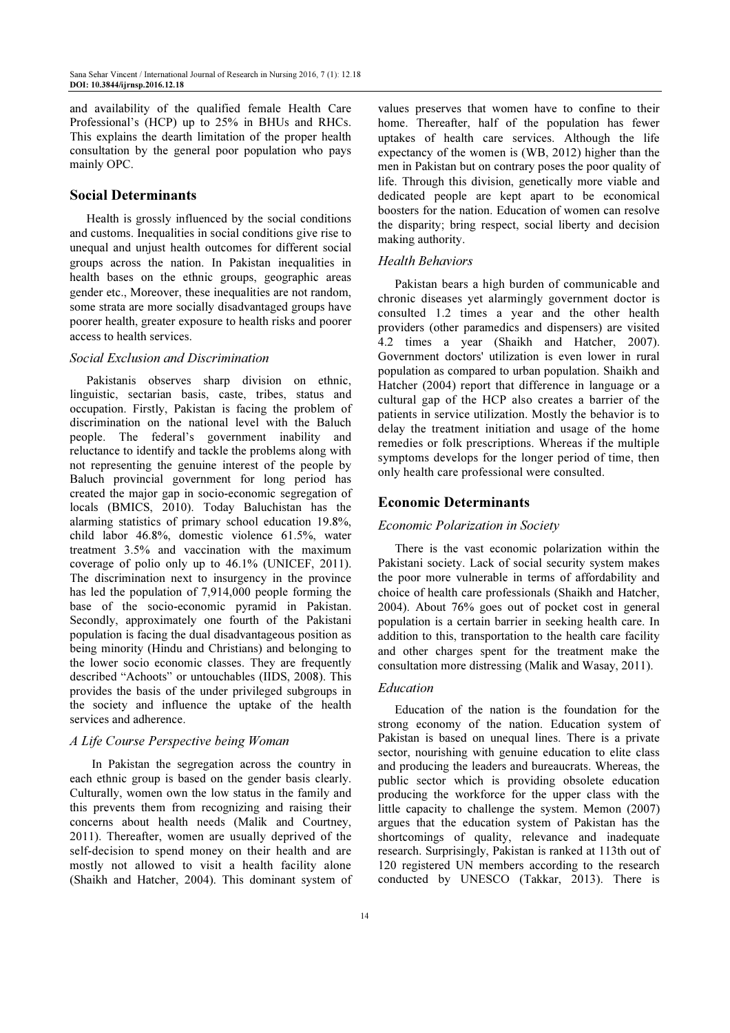and availability of the qualified female Health Care Professional's (HCP) up to 25% in BHUs and RHCs. This explains the dearth limitation of the proper health consultation by the general poor population who pays mainly OPC.

### Social Determinants

Health is grossly influenced by the social conditions and customs. Inequalities in social conditions give rise to unequal and unjust health outcomes for different social groups across the nation. In Pakistan inequalities in health bases on the ethnic groups, geographic areas gender etc., Moreover, these inequalities are not random, some strata are more socially disadvantaged groups have poorer health, greater exposure to health risks and poorer access to health services.

### Social Exclusion and Discrimination

Pakistanis observes sharp division on ethnic, linguistic, sectarian basis, caste, tribes, status and occupation. Firstly, Pakistan is facing the problem of discrimination on the national level with the Baluch people. The federal's government inability and reluctance to identify and tackle the problems along with not representing the genuine interest of the people by Baluch provincial government for long period has created the major gap in socio-economic segregation of locals (BMICS, 2010). Today Baluchistan has the alarming statistics of primary school education 19.8%, child labor 46.8%, domestic violence 61.5%, water treatment 3.5% and vaccination with the maximum coverage of polio only up to 46.1% (UNICEF, 2011). The discrimination next to insurgency in the province has led the population of 7,914,000 people forming the base of the socio-economic pyramid in Pakistan. Secondly, approximately one fourth of the Pakistani population is facing the dual disadvantageous position as being minority (Hindu and Christians) and belonging to the lower socio economic classes. They are frequently described "Achoots" or untouchables (IIDS, 2008). This provides the basis of the under privileged subgroups in the society and influence the uptake of the health services and adherence.

#### A Life Course Perspective being Woman

In Pakistan the segregation across the country in each ethnic group is based on the gender basis clearly. Culturally, women own the low status in the family and this prevents them from recognizing and raising their concerns about health needs (Malik and Courtney, 2011). Thereafter, women are usually deprived of the self-decision to spend money on their health and are mostly not allowed to visit a health facility alone (Shaikh and Hatcher, 2004). This dominant system of

values preserves that women have to confine to their home. Thereafter, half of the population has fewer uptakes of health care services. Although the life expectancy of the women is (WB, 2012) higher than the men in Pakistan but on contrary poses the poor quality of life. Through this division, genetically more viable and dedicated people are kept apart to be economical boosters for the nation. Education of women can resolve the disparity; bring respect, social liberty and decision making authority.

# Health Behaviors

Pakistan bears a high burden of communicable and chronic diseases yet alarmingly government doctor is consulted 1.2 times a year and the other health providers (other paramedics and dispensers) are visited 4.2 times a year (Shaikh and Hatcher, 2007). Government doctors' utilization is even lower in rural population as compared to urban population. Shaikh and Hatcher (2004) report that difference in language or a cultural gap of the HCP also creates a barrier of the patients in service utilization. Mostly the behavior is to delay the treatment initiation and usage of the home remedies or folk prescriptions. Whereas if the multiple symptoms develops for the longer period of time, then only health care professional were consulted.

## Economic Determinants

# Economic Polarization in Society

There is the vast economic polarization within the Pakistani society. Lack of social security system makes the poor more vulnerable in terms of affordability and choice of health care professionals (Shaikh and Hatcher, 2004). About 76% goes out of pocket cost in general population is a certain barrier in seeking health care. In addition to this, transportation to the health care facility and other charges spent for the treatment make the consultation more distressing (Malik and Wasay, 2011).

#### Education

Education of the nation is the foundation for the strong economy of the nation. Education system of Pakistan is based on unequal lines. There is a private sector, nourishing with genuine education to elite class and producing the leaders and bureaucrats. Whereas, the public sector which is providing obsolete education producing the workforce for the upper class with the little capacity to challenge the system. Memon (2007) argues that the education system of Pakistan has the shortcomings of quality, relevance and inadequate research. Surprisingly, Pakistan is ranked at 113th out of 120 registered UN members according to the research conducted by UNESCO (Takkar, 2013). There is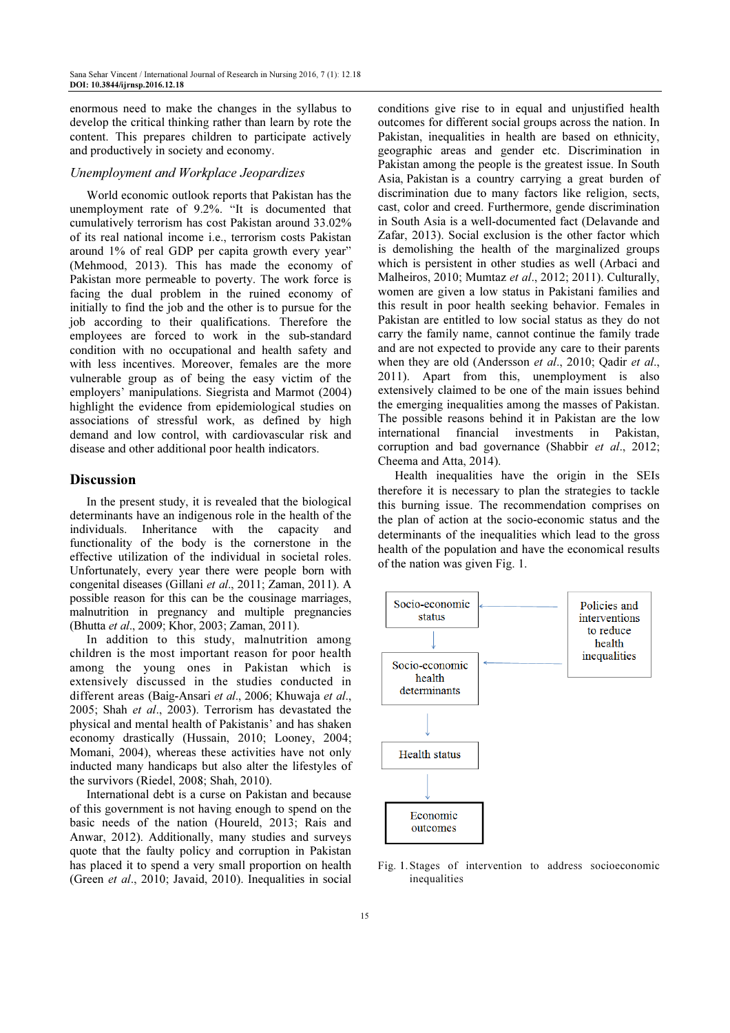enormous need to make the changes in the syllabus to develop the critical thinking rather than learn by rote the content. This prepares children to participate actively and productively in society and economy.

# Unemployment and Workplace Jeopardizes

World economic outlook reports that Pakistan has the unemployment rate of 9.2%. "It is documented that cumulatively terrorism has cost Pakistan around 33.02% of its real national income i.e., terrorism costs Pakistan around 1% of real GDP per capita growth every year" (Mehmood, 2013). This has made the economy of Pakistan more permeable to poverty. The work force is facing the dual problem in the ruined economy of initially to find the job and the other is to pursue for the job according to their qualifications. Therefore the employees are forced to work in the sub-standard condition with no occupational and health safety and with less incentives. Moreover, females are the more vulnerable group as of being the easy victim of the employers' manipulations. Siegrista and Marmot (2004) highlight the evidence from epidemiological studies on associations of stressful work, as defined by high demand and low control, with cardiovascular risk and disease and other additional poor health indicators.

# Discussion

In the present study, it is revealed that the biological determinants have an indigenous role in the health of the individuals. Inheritance with the capacity and functionality of the body is the cornerstone in the effective utilization of the individual in societal roles. Unfortunately, every year there were people born with congenital diseases (Gillani et al., 2011; Zaman, 2011). A possible reason for this can be the cousinage marriages, malnutrition in pregnancy and multiple pregnancies (Bhutta et al., 2009; Khor, 2003; Zaman, 2011).

In addition to this study, malnutrition among children is the most important reason for poor health among the young ones in Pakistan which is extensively discussed in the studies conducted in different areas (Baig-Ansari et al., 2006; Khuwaja et al., 2005; Shah et al., 2003). Terrorism has devastated the physical and mental health of Pakistanis' and has shaken economy drastically (Hussain, 2010; Looney, 2004; Momani, 2004), whereas these activities have not only inducted many handicaps but also alter the lifestyles of the survivors (Riedel, 2008; Shah, 2010).

International debt is a curse on Pakistan and because of this government is not having enough to spend on the basic needs of the nation (Houreld, 2013; Rais and Anwar, 2012). Additionally, many studies and surveys quote that the faulty policy and corruption in Pakistan has placed it to spend a very small proportion on health (Green et al., 2010; Javaid, 2010). Inequalities in social

conditions give rise to in equal and unjustified health outcomes for different social groups across the nation. In Pakistan, inequalities in health are based on ethnicity, geographic areas and gender etc. Discrimination in Pakistan among the people is the greatest issue. In South Asia, Pakistan is a country carrying a great burden of discrimination due to many factors like religion, sects, cast, color and creed. Furthermore, gende discrimination in South Asia is a well-documented fact (Delavande and Zafar, 2013). Social exclusion is the other factor which is demolishing the health of the marginalized groups which is persistent in other studies as well (Arbaci and Malheiros, 2010; Mumtaz et al., 2012; 2011). Culturally, women are given a low status in Pakistani families and this result in poor health seeking behavior. Females in Pakistan are entitled to low social status as they do not carry the family name, cannot continue the family trade and are not expected to provide any care to their parents when they are old (Andersson et al., 2010; Qadir et al., 2011). Apart from this, unemployment is also extensively claimed to be one of the main issues behind the emerging inequalities among the masses of Pakistan. The possible reasons behind it in Pakistan are the low international financial investments in Pakistan, corruption and bad governance (Shabbir et al., 2012; Cheema and Atta, 2014).

Health inequalities have the origin in the SEIs therefore it is necessary to plan the strategies to tackle this burning issue. The recommendation comprises on the plan of action at the socio-economic status and the determinants of the inequalities which lead to the gross health of the population and have the economical results of the nation was given Fig. 1.



Fig. 1. Stages of intervention to address socioeconomic inequalities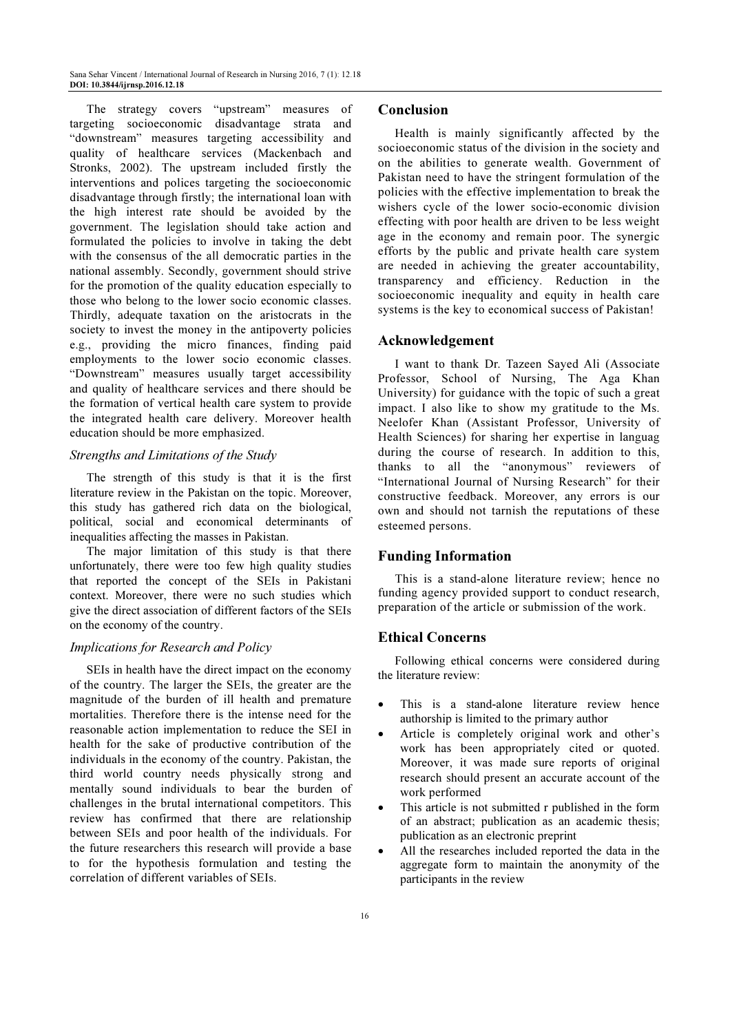The strategy covers "upstream" measures of targeting socioeconomic disadvantage strata and "downstream" measures targeting accessibility and quality of healthcare services (Mackenbach and Stronks, 2002). The upstream included firstly the interventions and polices targeting the socioeconomic disadvantage through firstly; the international loan with the high interest rate should be avoided by the government. The legislation should take action and formulated the policies to involve in taking the debt with the consensus of the all democratic parties in the national assembly. Secondly, government should strive for the promotion of the quality education especially to those who belong to the lower socio economic classes. Thirdly, adequate taxation on the aristocrats in the society to invest the money in the antipoverty policies e.g., providing the micro finances, finding paid employments to the lower socio economic classes. "Downstream" measures usually target accessibility and quality of healthcare services and there should be the formation of vertical health care system to provide the integrated health care delivery. Moreover health education should be more emphasized.

#### Strengths and Limitations of the Study

The strength of this study is that it is the first literature review in the Pakistan on the topic. Moreover, this study has gathered rich data on the biological, political, social and economical determinants of inequalities affecting the masses in Pakistan.

The major limitation of this study is that there unfortunately, there were too few high quality studies that reported the concept of the SEIs in Pakistani context. Moreover, there were no such studies which give the direct association of different factors of the SEIs on the economy of the country.

#### Implications for Research and Policy

SEIs in health have the direct impact on the economy of the country. The larger the SEIs, the greater are the magnitude of the burden of ill health and premature mortalities. Therefore there is the intense need for the reasonable action implementation to reduce the SEI in health for the sake of productive contribution of the individuals in the economy of the country. Pakistan, the third world country needs physically strong and mentally sound individuals to bear the burden of challenges in the brutal international competitors. This review has confirmed that there are relationship between SEIs and poor health of the individuals. For the future researchers this research will provide a base to for the hypothesis formulation and testing the correlation of different variables of SEIs.

# Conclusion

Health is mainly significantly affected by the socioeconomic status of the division in the society and on the abilities to generate wealth. Government of Pakistan need to have the stringent formulation of the policies with the effective implementation to break the wishers cycle of the lower socio-economic division effecting with poor health are driven to be less weight age in the economy and remain poor. The synergic efforts by the public and private health care system are needed in achieving the greater accountability, transparency and efficiency. Reduction in the socioeconomic inequality and equity in health care systems is the key to economical success of Pakistan!

## Acknowledgement

I want to thank Dr. Tazeen Sayed Ali (Associate Professor, School of Nursing, The Aga Khan University) for guidance with the topic of such a great impact. I also like to show my gratitude to the Ms. Neelofer Khan (Assistant Professor, University of Health Sciences) for sharing her expertise in languag during the course of research. In addition to this, thanks to all the "anonymous" reviewers of "International Journal of Nursing Research" for their constructive feedback. Moreover, any errors is our own and should not tarnish the reputations of these esteemed persons.

### Funding Information

This is a stand-alone literature review; hence no funding agency provided support to conduct research, preparation of the article or submission of the work.

# Ethical Concerns

Following ethical concerns were considered during the literature review:

- This is a stand-alone literature review hence authorship is limited to the primary author
- Article is completely original work and other's work has been appropriately cited or quoted. Moreover, it was made sure reports of original research should present an accurate account of the work performed
- This article is not submitted r published in the form of an abstract; publication as an academic thesis; publication as an electronic preprint
- All the researches included reported the data in the aggregate form to maintain the anonymity of the participants in the review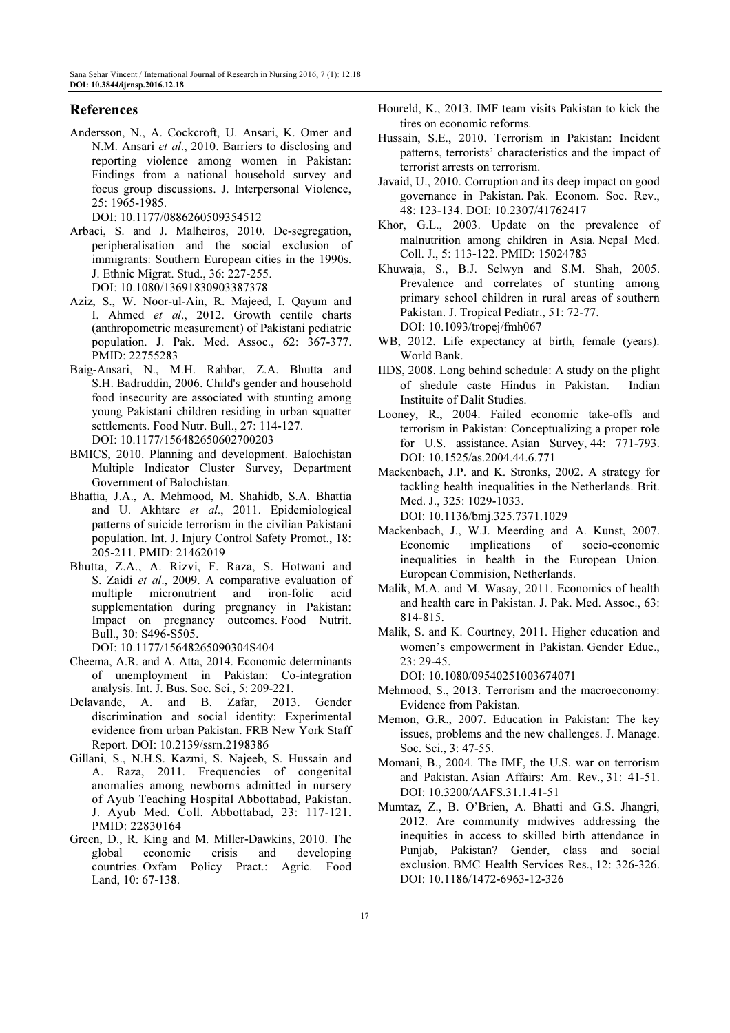## References

Andersson, N., A. Cockcroft, U. Ansari, K. Omer and N.M. Ansari et al., 2010. Barriers to disclosing and reporting violence among women in Pakistan: Findings from a national household survey and focus group discussions. J. Interpersonal Violence, 25: 1965-1985.

DOI: 10.1177/0886260509354512

- Arbaci, S. and J. Malheiros, 2010. De-segregation, peripheralisation and the social exclusion of immigrants: Southern European cities in the 1990s. J. Ethnic Migrat. Stud., 36: 227-255. DOI: 10.1080/13691830903387378
- Aziz, S., W. Noor-ul-Ain, R. Majeed, I. Qayum and I. Ahmed et al., 2012. Growth centile charts (anthropometric measurement) of Pakistani pediatric population. J. Pak. Med. Assoc., 62: 367-377. PMID: 22755283
- Baig-Ansari, N., M.H. Rahbar, Z.A. Bhutta and S.H. Badruddin, 2006. Child's gender and household food insecurity are associated with stunting among young Pakistani children residing in urban squatter settlements. Food Nutr. Bull., 27: 114-127. DOI: 10.1177/156482650602700203
- BMICS, 2010. Planning and development. Balochistan Multiple Indicator Cluster Survey, Department Government of Balochistan.
- Bhattia, J.A., A. Mehmood, M. Shahidb, S.A. Bhattia and U. Akhtarc et al., 2011. Epidemiological patterns of suicide terrorism in the civilian Pakistani population. Int. J. Injury Control Safety Promot., 18: 205-211. PMID: 21462019
- Bhutta, Z.A., A. Rizvi, F. Raza, S. Hotwani and S. Zaidi et al., 2009. A comparative evaluation of multiple micronutrient and iron-folic acid supplementation during pregnancy in Pakistan: Impact on pregnancy outcomes. Food Nutrit. Bull., 30: S496-S505.

DOI: 10.1177/15648265090304S404

- Cheema, A.R. and A. Atta, 2014. Economic determinants of unemployment in Pakistan: Co-integration analysis. Int. J. Bus. Soc. Sci., 5: 209-221.
- Delavande, A. and B. Zafar, 2013. Gender discrimination and social identity: Experimental evidence from urban Pakistan. FRB New York Staff Report. DOI: 10.2139/ssrn.2198386
- Gillani, S., N.H.S. Kazmi, S. Najeeb, S. Hussain and A. Raza, 2011. Frequencies of congenital anomalies among newborns admitted in nursery of Ayub Teaching Hospital Abbottabad, Pakistan. J. Ayub Med. Coll. Abbottabad, 23: 117-121. PMID: 22830164
- Green, D., R. King and M. Miller-Dawkins, 2010. The global economic crisis and developing countries. Oxfam Policy Pract.: Agric. Food Land, 10: 67-138.
- Houreld, K., 2013. IMF team visits Pakistan to kick the tires on economic reforms.
- Hussain, S.E., 2010. Terrorism in Pakistan: Incident patterns, terrorists' characteristics and the impact of terrorist arrests on terrorism.
- Javaid, U., 2010. Corruption and its deep impact on good governance in Pakistan. Pak. Econom. Soc. Rev., 48: 123-134. DOI: 10.2307/41762417
- Khor, G.L., 2003. Update on the prevalence of malnutrition among children in Asia. Nepal Med. Coll. J., 5: 113-122. PMID: 15024783
- Khuwaja, S., B.J. Selwyn and S.M. Shah, 2005. Prevalence and correlates of stunting among primary school children in rural areas of southern Pakistan. J. Tropical Pediatr., 51: 72-77. DOI: 10.1093/tropej/fmh067
- WB, 2012. Life expectancy at birth, female (years). World Bank.
- IIDS, 2008. Long behind schedule: A study on the plight of shedule caste Hindus in Pakistan. Indian Instituite of Dalit Studies.
- Looney, R., 2004. Failed economic take-offs and terrorism in Pakistan: Conceptualizing a proper role for U.S. assistance. Asian Survey, 44: 771-793. DOI: 10.1525/as.2004.44.6.771
- Mackenbach, J.P. and K. Stronks, 2002. A strategy for tackling health inequalities in the Netherlands. Brit. Med. J., 325: 1029-1033. DOI: 10.1136/bmj.325.7371.1029
- Mackenbach, J., W.J. Meerding and A. Kunst, 2007. Economic implications of socio-economic inequalities in health in the European Union. European Commision, Netherlands.
- Malik, M.A. and M. Wasay, 2011. Economics of health and health care in Pakistan. J. Pak. Med. Assoc., 63: 814-815.
- Malik, S. and K. Courtney, 2011. Higher education and women's empowerment in Pakistan. Gender Educ., 23: 29-45.

DOI: 10.1080/09540251003674071

- Mehmood, S., 2013. Terrorism and the macroeconomy: Evidence from Pakistan.
- Memon, G.R., 2007. Education in Pakistan: The key issues, problems and the new challenges. J. Manage. Soc. Sci., 3: 47-55.
- Momani, B., 2004. The IMF, the U.S. war on terrorism and Pakistan. Asian Affairs: Am. Rev., 31: 41-51. DOI: 10.3200/AAFS.31.1.41-51
- Mumtaz, Z., B. O'Brien, A. Bhatti and G.S. Jhangri, 2012. Are community midwives addressing the inequities in access to skilled birth attendance in Punjab, Pakistan? Gender, class and social exclusion. BMC Health Services Res., 12: 326-326. DOI: 10.1186/1472-6963-12-326